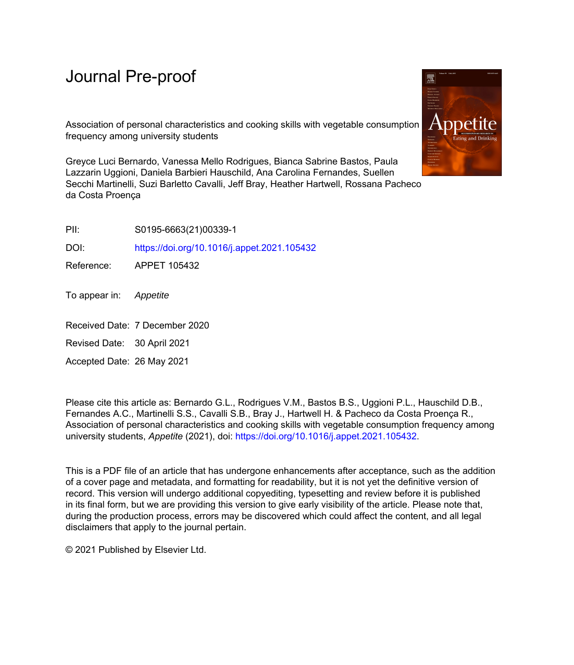# Journal Pre-proof

Association of personal characteristics and cooking skills with vegetable consumption frequency among university students

Greyce Luci Bernardo, Vanessa Mello Rodrigues, Bianca Sabrine Bastos, Paula Lazzarin Uggioni, Daniela Barbieri Hauschild, Ana Carolina Fernandes, Suellen Secchi Martinelli, Suzi Barletto Cavalli, Jeff Bray, Heather Hartwell, Rossana Pacheco da Costa Proença

PII: S0195-6663(21)00339-1

DOI: <https://doi.org/10.1016/j.appet.2021.105432>

Reference: APPET 105432

To appear in: Appetite

Received Date: 7 December 2020

Revised Date: 30 April 2021

Accepted Date: 26 May 2021

Please cite this article as: Bernardo G.L., Rodrigues V.M., Bastos B.S., Uggioni P.L., Hauschild D.B., Fernandes A.C., Martinelli S.S., Cavalli S.B., Bray J., Hartwell H. & Pacheco da Costa Proença R., Association of personal characteristics and cooking skills with vegetable consumption frequency among university students, *Appetite* (2021), doi:<https://doi.org/10.1016/j.appet.2021.105432>.

This is a PDF file of an article that has undergone enhancements after acceptance, such as the addition of a cover page and metadata, and formatting for readability, but it is not yet the definitive version of record. This version will undergo additional copyediting, typesetting and review before it is published in its final form, but we are providing this version to give early visibility of the article. Please note that, during the production process, errors may be discovered which could affect the content, and all legal disclaimers that apply to the journal pertain.

© 2021 Published by Elsevier Ltd.

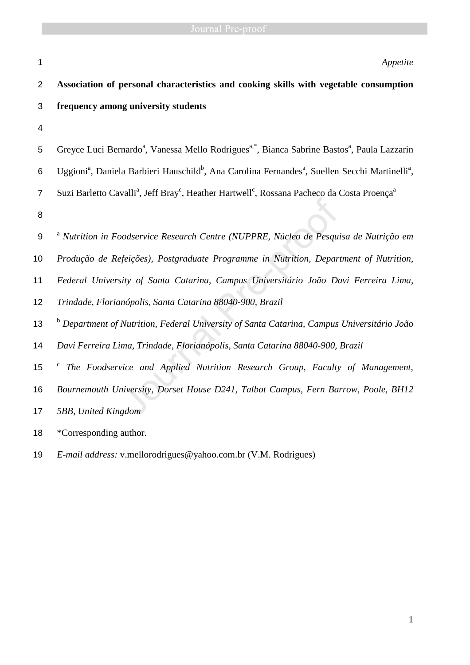## 1 *Appetite*

| $\overline{2}$   | Association of personal characteristics and cooking skills with vegetable consumption                                                           |
|------------------|-------------------------------------------------------------------------------------------------------------------------------------------------|
| 3                | frequency among university students                                                                                                             |
| $\overline{4}$   |                                                                                                                                                 |
| 5                | Greyce Luci Bernardo <sup>a</sup> , Vanessa Mello Rodrigues <sup>a,*</sup> , Bianca Sabrine Bastos <sup>a</sup> , Paula Lazzarin                |
| 6                | Uggioni <sup>a</sup> , Daniela Barbieri Hauschild <sup>b</sup> , Ana Carolina Fernandes <sup>a</sup> , Suellen Secchi Martinelli <sup>a</sup> , |
| $\overline{7}$   | Suzi Barletto Cavalli <sup>a</sup> , Jeff Bray <sup>c</sup> , Heather Hartwell <sup>c</sup> , Rossana Pacheco da Costa Proença <sup>a</sup>     |
| 8                |                                                                                                                                                 |
| $\boldsymbol{9}$ | <sup>a</sup> Nutrition in Foodservice Research Centre (NUPPRE, Núcleo de Pesquisa de Nutrição em                                                |
| 10               | Produção de Refeições), Postgraduate Programme in Nutrition, Department of Nutrition,                                                           |
| 11               | Federal University of Santa Catarina, Campus Universitário João Davi Ferreira Lima,                                                             |
| 12               | Trindade, Florianópolis, Santa Catarina 88040-900, Brazil                                                                                       |
| 13               | <sup>b</sup> Department of Nutrition, Federal University of Santa Catarina, Campus Universitário João                                           |
| 14               | Davi Ferreira Lima, Trindade, Florianópolis, Santa Catarina 88040-900, Brazil                                                                   |
| 15               | The Foodservice and Applied Nutrition Research Group, Faculty of Management,<br>$\mathbf{c}$                                                    |
| 16               | Bournemouth University, Dorset House D241, Talbot Campus, Fern Barrow, Poole, BH12                                                              |
| 17               | 5BB, United Kingdom                                                                                                                             |
| 18               | *Corresponding author.                                                                                                                          |
| 19               | <i>E-mail address:</i> v.mellorodrigues@yahoo.com.br (V.M. Rodrigues)                                                                           |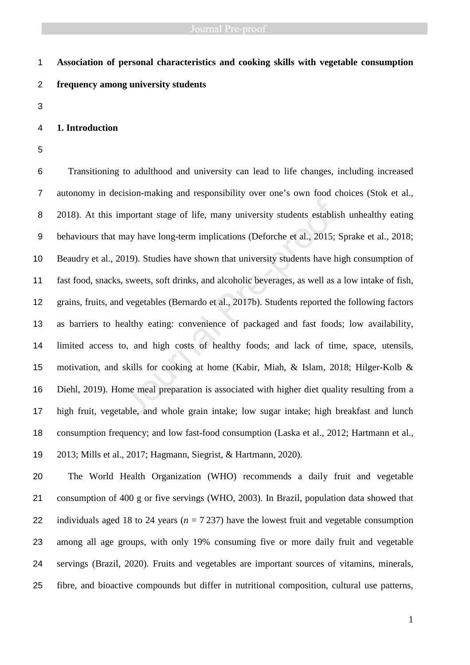# **Association of personal characteristics and cooking skills with vegetable consumption frequency among university students**

### **1. Introduction**

Transitioning to adulthood and university can lead to life changes, including increased autonomy in decision-making and responsibility over one's own food choices (Stok et al., 2018). At this important stage of life, many university students establish unhealthy eating behaviours that may have long-term implications (Deforche et al., 2015; Sprake et al., 2018; Beaudry et al., 2019). Studies have shown that university students have high consumption of fast food, snacks, sweets, soft drinks, and alcoholic beverages, as well as a low intake of fish, grains, fruits, and vegetables (Bernardo et al., 2017b). Students reported the following factors as barriers to healthy eating: convenience of packaged and fast foods; low availability, limited access to, and high costs of healthy foods; and lack of time, space, utensils, motivation, and skills for cooking at home (Kabir, Miah, & Islam, 2018; Hilger-Kolb & Diehl, 2019). Home meal preparation is associated with higher diet quality resulting from a high fruit, vegetable, and whole grain intake; low sugar intake; high breakfast and lunch consumption frequency; and low fast-food consumption (Laska et al., 2012; Hartmann et al., 2013; Mills et al., 2017; Hagmann, Siegrist, & Hartmann, 2020). mportant stage of life, many university students establism<br>may have long-term implications (Deforche et al., 2015; 3019). Studies have shown that university students have hi<br>s, sweets, soft drinks, and alcoholic beverages,

The World Health Organization (WHO) recommends a daily fruit and vegetable consumption of 400 g or five servings (WHO, 2003). In Brazil, population data showed that 22 individuals aged 18 to 24 years ( $n = 7237$ ) have the lowest fruit and vegetable consumption among all age groups, with only 19% consuming five or more daily fruit and vegetable servings (Brazil, 2020). Fruits and vegetables are important sources of vitamins, minerals, fibre, and bioactive compounds but differ in nutritional composition, cultural use patterns,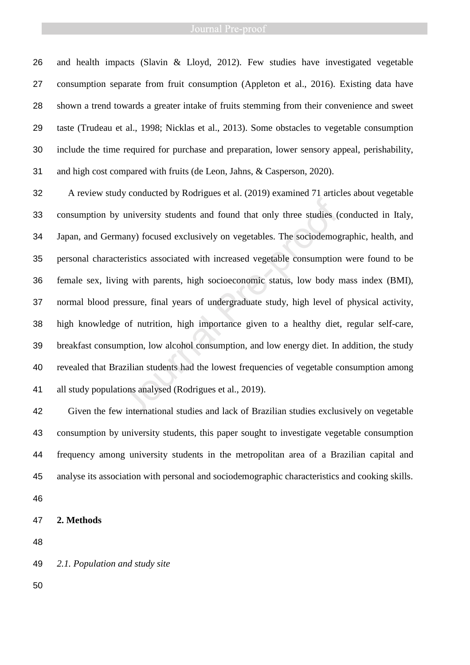# Journal Pre-proof

and health impacts (Slavin & Lloyd, 2012). Few studies have investigated vegetable consumption separate from fruit consumption (Appleton et al., 2016). Existing data have shown a trend towards a greater intake of fruits stemming from their convenience and sweet taste (Trudeau et al., 1998; Nicklas et al., 2013). Some obstacles to vegetable consumption include the time required for purchase and preparation, lower sensory appeal, perishability, and high cost compared with fruits (de Leon, Jahns, & Casperson, 2020).

A review study conducted by Rodrigues et al. (2019) examined 71 articles about vegetable consumption by university students and found that only three studies (conducted in Italy, Japan, and Germany) focused exclusively on vegetables. The sociodemographic, health, and personal characteristics associated with increased vegetable consumption were found to be female sex, living with parents, high socioeconomic status, low body mass index (BMI), normal blood pressure, final years of undergraduate study, high level of physical activity, high knowledge of nutrition, high importance given to a healthy diet, regular self-care, breakfast consumption, low alcohol consumption, and low energy diet. In addition, the study revealed that Brazilian students had the lowest frequencies of vegetable consumption among all study populations analysed (Rodrigues et al., 2019). university students and found that only three studies (<br>unany) focused exclusively on vegetables. The sociodemog<br>eristics associated with increased vegetable consumption<br>ng with parents, high socioeconomic status, low body

Given the few international studies and lack of Brazilian studies exclusively on vegetable consumption by university students, this paper sought to investigate vegetable consumption frequency among university students in the metropolitan area of a Brazilian capital and analyse its association with personal and sociodemographic characteristics and cooking skills.

- 
- **2. Methods**

*2.1. Population and study site*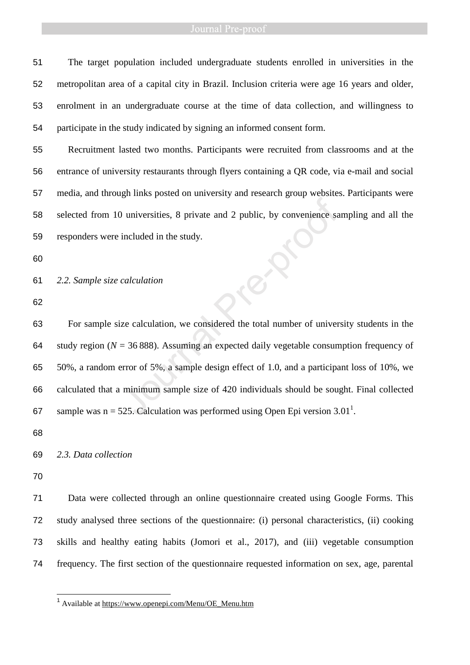### Journal Pre-proof

The target population included undergraduate students enrolled in universities in the metropolitan area of a capital city in Brazil. Inclusion criteria were age 16 years and older, enrolment in an undergraduate course at the time of data collection, and willingness to participate in the study indicated by signing an informed consent form.

Recruitment lasted two months. Participants were recruited from classrooms and at the entrance of university restaurants through flyers containing a QR code, via e-mail and social media, and through links posted on university and research group websites. Participants were selected from 10 universities, 8 private and 2 public, by convenience sampling and all the responders were included in the study.

*2.2. Sample size calculation* 

For sample size calculation, we considered the total number of university students in the 64 study region  $(N = 36 888)$ . Assuming an expected daily vegetable consumption frequency of 50%, a random error of 5%, a sample design effect of 1.0, and a participant loss of 10%, we calculated that a minimum sample size of 420 individuals should be sought. Final collected 67 sample was  $n = 525$ . Calculation was performed using Open Epi version 3.01<sup>1</sup>. Journal Pre-<br>
Journal Pre-<br>
Dimensions a included in the study.<br>
Calculation<br>
calculation<br>
ze calculation, we considered the total number of univer<br>  $= 36,888$ . Assuming an expected daily vegetable consum<br>
error of 5%, a

### *2.3. Data collection*

 $\overline{a}$ 

Data were collected through an online questionnaire created using Google Forms. This study analysed three sections of the questionnaire: (i) personal characteristics, (ii) cooking skills and healthy eating habits (Jomori et al., 2017), and (iii) vegetable consumption frequency. The first section of the questionnaire requested information on sex, age, parental

<sup>&</sup>lt;sup>1</sup> Available at https://www.openepi.com/Menu/OE\_Menu.htm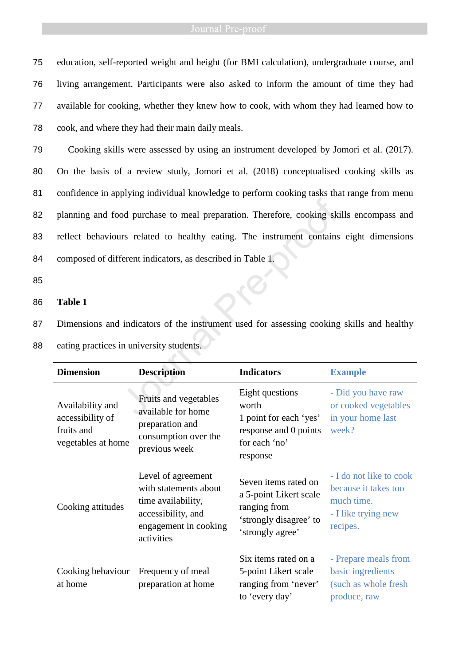education, self-reported weight and height (for BMI calculation), undergraduate course, and living arrangement. Participants were also asked to inform the amount of time they had available for cooking, whether they knew how to cook, with whom they had learned how to cook, and where they had their main daily meals.

Cooking skills were assessed by using an instrument developed by Jomori et al. (2017). On the basis of a review study, Jomori et al. (2018) conceptualised cooking skills as confidence in applying individual knowledge to perform cooking tasks that range from menu planning and food purchase to meal preparation. Therefore, cooking skills encompass and reflect behaviours related to healthy eating. The instrument contains eight dimensions composed of different indicators, as described in Table 1. od purchase to meal preparation. Therefore, cooking skint<br>
Interaction and the instrument contains<br>
Ferent indicators, as described in Table 1.<br>
indicators of the instrument used for assessing cooking<br>
in university studen

85

### 86 **Table 1**

87 Dimensions and indicators of the instrument used for assessing cooking skills and healthy

| <b>Dimension</b>                                                         | <b>Description</b>                                                                                                             | <b>Indicators</b>                                                                                            | <b>Example</b>                                                                                   |
|--------------------------------------------------------------------------|--------------------------------------------------------------------------------------------------------------------------------|--------------------------------------------------------------------------------------------------------------|--------------------------------------------------------------------------------------------------|
| Availability and<br>accessibility of<br>fruits and<br>vegetables at home | Fruits and vegetables<br>available for home<br>preparation and<br>consumption over the<br>previous week                        | Eight questions<br>worth<br>1 point for each 'yes'<br>response and 0 points<br>for each 'no'<br>response     | - Did you have raw<br>or cooked vegetables<br>in your home last<br>week?                         |
| Cooking attitudes                                                        | Level of agreement<br>with statements about<br>time availability,<br>accessibility, and<br>engagement in cooking<br>activities | Seven items rated on<br>a 5-point Likert scale<br>ranging from<br>'strongly disagree' to<br>'strongly agree' | - I do not like to cook<br>because it takes too<br>much time.<br>- I like trying new<br>recipes. |
| Cooking behaviour<br>at home                                             | Frequency of meal<br>preparation at home                                                                                       | Six items rated on a<br>5-point Likert scale<br>ranging from 'never'<br>to 'every day'                       | - Prepare meals from<br>basic ingredients<br>(such as whole fresh<br>produce, raw                |

88 eating practices in university students.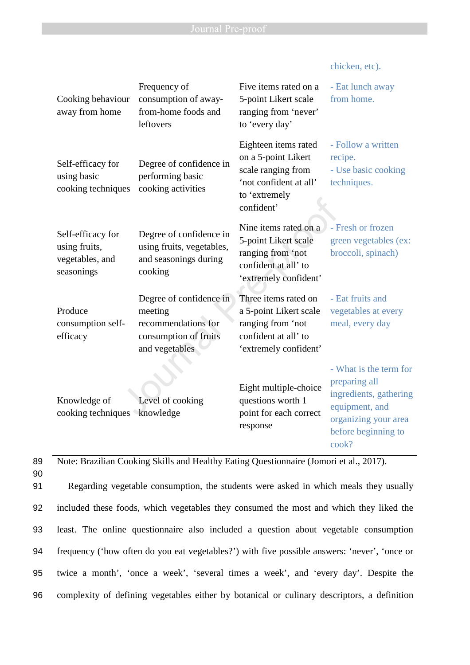chicken, etc).

| Cooking behaviour<br>away from home                                 | Frequency of<br>consumption of away-<br>from-home foods and<br>leftovers                             | Five items rated on a<br>5-point Likert scale<br>ranging from 'never'<br>to 'every day'                                    | - Eat lunch away<br>from home.                                                                                                              |
|---------------------------------------------------------------------|------------------------------------------------------------------------------------------------------|----------------------------------------------------------------------------------------------------------------------------|---------------------------------------------------------------------------------------------------------------------------------------------|
| Self-efficacy for<br>using basic<br>cooking techniques              | Degree of confidence in<br>performing basic<br>cooking activities                                    | Eighteen items rated<br>on a 5-point Likert<br>scale ranging from<br>'not confident at all'<br>to 'extremely<br>confident' | - Follow a written<br>recipe.<br>- Use basic cooking<br>techniques.                                                                         |
| Self-efficacy for<br>using fruits,<br>vegetables, and<br>seasonings | Degree of confidence in<br>using fruits, vegetables,<br>and seasonings during<br>cooking             | Nine items rated on a<br>5-point Likert scale<br>ranging from 'not<br>confident at all' to<br>'extremely confident'        | - Fresh or frozen<br>green vegetables (ex:<br>broccoli, spinach)                                                                            |
| Produce<br>consumption self-<br>efficacy                            | Degree of confidence in<br>meeting<br>recommendations for<br>consumption of fruits<br>and vegetables | Three items rated on<br>a 5-point Likert scale<br>ranging from 'not<br>confident at all' to<br>'extremely confident'       | - Eat fruits and<br>vegetables at every<br>meal, every day                                                                                  |
| Knowledge of<br>cooking techniques knowledge                        | Level of cooking                                                                                     | Eight multiple-choice<br>questions worth 1<br>point for each correct<br>response                                           | - What is the term for<br>preparing all<br>ingredients, gathering<br>equipment, and<br>organizing your area<br>before beginning to<br>cook? |

89 Note: Brazilian Cooking Skills and Healthy Eating Questionnaire (Jomori et al., 2017). 90

Regarding vegetable consumption, the students were asked in which meals they usually included these foods, which vegetables they consumed the most and which they liked the least. The online questionnaire also included a question about vegetable consumption frequency ('how often do you eat vegetables?') with five possible answers: 'never', 'once or twice a month', 'once a week', 'several times a week', and 'every day'. Despite the complexity of defining vegetables either by botanical or culinary descriptors, a definition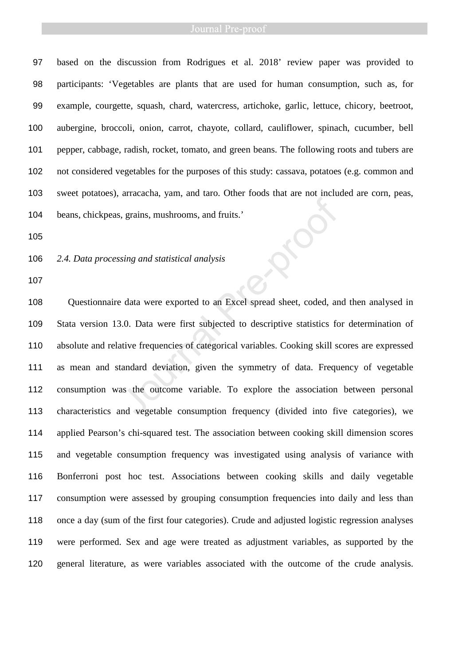### Journal Pre-proof

based on the discussion from Rodrigues et al. 2018' review paper was provided to participants: 'Vegetables are plants that are used for human consumption, such as, for example, courgette, squash, chard, watercress, artichoke, garlic, lettuce, chicory, beetroot, aubergine, broccoli, onion, carrot, chayote, collard, cauliflower, spinach, cucumber, bell pepper, cabbage, radish, rocket, tomato, and green beans. The following roots and tubers are not considered vegetables for the purposes of this study: cassava, potatoes (e.g. common and sweet potatoes), arracacha, yam, and taro. Other foods that are not included are corn, peas, beans, chickpeas, grains, mushrooms, and fruits.'

*2.4. Data processing and statistical analysis* 

Questionnaire data were exported to an Excel spread sheet, coded, and then analysed in Stata version 13.0. Data were first subjected to descriptive statistics for determination of absolute and relative frequencies of categorical variables. Cooking skill scores are expressed as mean and standard deviation, given the symmetry of data. Frequency of vegetable consumption was the outcome variable. To explore the association between personal characteristics and vegetable consumption frequency (divided into five categories), we applied Pearson's chi-squared test. The association between cooking skill dimension scores and vegetable consumption frequency was investigated using analysis of variance with Bonferroni post hoc test. Associations between cooking skills and daily vegetable consumption were assessed by grouping consumption frequencies into daily and less than once a day (sum of the first four categories). Crude and adjusted logistic regression analyses were performed. Sex and age were treated as adjustment variables, as supported by the general literature, as were variables associated with the outcome of the crude analysis. The set of the symmetry of data. Frequencies and vertical analysis<br>
Sing and statistical analysis<br>
A data were exported to an Excel spread sheet, coded, an<br>
M.O. Data were first subjected to descriptive statistics for<br>
tiv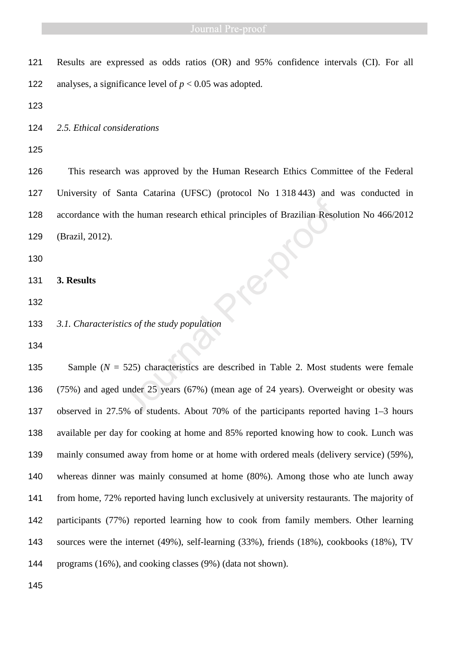Results are expressed as odds ratios (OR) and 95% confidence intervals (CI). For all 122 analyses, a significance level of  $p < 0.05$  was adopted.

*2.5. Ethical considerations* 

This research was approved by the Human Research Ethics Committee of the Federal University of Santa Catarina (UFSC) (protocol No 1 318 443) and was conducted in accordance with the human research ethical principles of Brazilian Resolution No 466/2012 (Brazil, 2012).

- **3. Results**
- 
- *3.1. Characteristics of the study population*
- 

Sample (*N* = 525) characteristics are described in Table 2. Most students were female (75%) and aged under 25 years (67%) (mean age of 24 years). Overweight or obesity was observed in 27.5% of students. About 70% of the participants reported having 1–3 hours available per day for cooking at home and 85% reported knowing how to cook. Lunch was mainly consumed away from home or at home with ordered meals (delivery service) (59%), whereas dinner was mainly consumed at home (80%). Among those who ate lunch away from home, 72% reported having lunch exclusively at university restaurants. The majority of participants (77%) reported learning how to cook from family members. Other learning sources were the internet (49%), self-learning (33%), friends (18%), cookbooks (18%), TV programs (16%), and cooking classes (9%) (data not shown). the human research ethical principles of Brazilian Resol<br>tics of the study population<br>525) characteristics are described in Table 2. Most studier 25 years (67%) (mean age of 24 years). Overwei<br>5% of students. About 70% of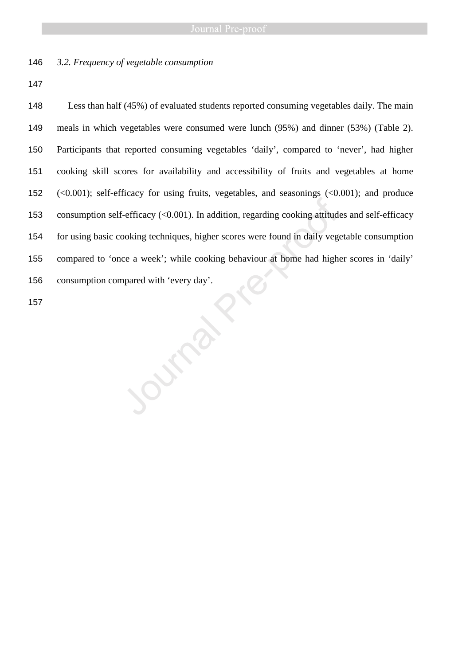*3.2. Frequency of vegetable consumption* 

Less than half (45%) of evaluated students reported consuming vegetables daily. The main meals in which vegetables were consumed were lunch (95%) and dinner (53%) (Table 2). Participants that reported consuming vegetables 'daily', compared to 'never', had higher cooking skill scores for availability and accessibility of fruits and vegetables at home (<0.001); self-efficacy for using fruits, vegetables, and seasonings (<0.001); and produce consumption self-efficacy (<0.001). In addition, regarding cooking attitudes and self-efficacy for using basic cooking techniques, higher scores were found in daily vegetable consumption compared to 'once a week'; while cooking behaviour at home had higher scores in 'daily' consumption compared with 'every day'. 157 Journal Press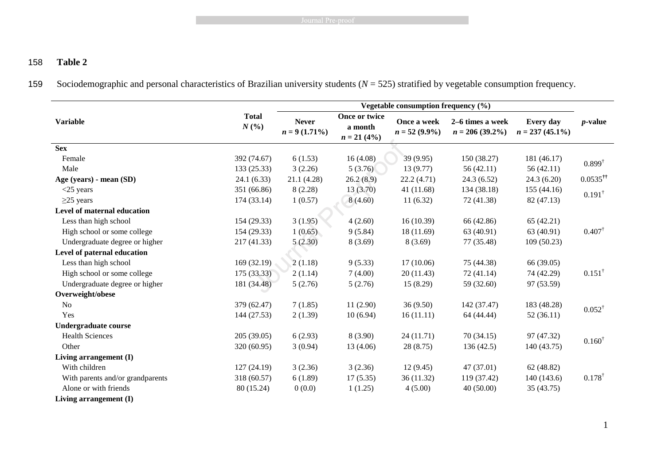**Example 3** Journal Pre-proof

# 158 **Table 2**

159 Sociodemographic and personal characteristics of Brazilian university students (*N* = 525) stratified by vegetable consumption frequency.

|                                  |                     |                                 |                                           | Vegetable consumption frequency (%) |                                        |                                 |                        |
|----------------------------------|---------------------|---------------------------------|-------------------------------------------|-------------------------------------|----------------------------------------|---------------------------------|------------------------|
| <b>Variable</b>                  | <b>Total</b><br>N(% | <b>Never</b><br>$n = 9(1.71\%)$ | Once or twice<br>a month<br>$n = 21 (4%)$ | Once a week<br>$n = 52 (9.9\%)$     | 2-6 times a week<br>$n = 206 (39.2\%)$ | Every day<br>$n = 237 (45.1\%)$ | $p$ -value             |
| <b>Sex</b>                       |                     |                                 |                                           |                                     |                                        |                                 |                        |
| Female                           | 392 (74.67)         | 6(1.53)                         | 16(4.08)                                  | 39 (9.95)                           | 150 (38.27)                            | 181 (46.17)                     | $0.899^{\dagger}$      |
| Male                             | 133(25.33)          | 3(2.26)                         | 5(3.76)                                   | 13(9.77)                            | 56(42.11)                              | 56(42.11)                       |                        |
| Age (years) - mean (SD)          | 24.1(6.33)          | 21.1(4.28)                      | 26.2(8.9)                                 | 22.2(4.71)                          | 24.3(6.52)                             | 24.3(6.20)                      | $0.0535$ <sup>††</sup> |
| $<$ 25 years                     | 351 (66.86)         | 8(2.28)                         | 13(3.70)                                  | 41 (11.68)                          | 134 (38.18)                            | 155(44.16)                      | $0.191^{\dagger}$      |
| $\geq$ 25 years                  | 174(33.14)          | 1(0.57)                         | 8(4.60)                                   | 11(6.32)                            | 72 (41.38)                             | 82 (47.13)                      |                        |
| Level of maternal education      |                     |                                 |                                           |                                     |                                        |                                 |                        |
| Less than high school            | 154(29.33)          | 3(1.95)                         | 4(2.60)                                   | 16(10.39)                           | 66 (42.86)                             | 65(42.21)                       |                        |
| High school or some college      | 154(29.33)          | 1(0.65)                         | 9(5.84)                                   | 18 (11.69)                          | 63 (40.91)                             | 63 (40.91)                      | $0.407^{\dagger}$      |
| Undergraduate degree or higher   | 217 (41.33)         | 5(2.30)                         | 8(3.69)                                   | 8(3.69)                             | 77 (35.48)                             | 109(50.23)                      |                        |
| Level of paternal education      |                     |                                 |                                           |                                     |                                        |                                 |                        |
| Less than high school            | 169(32.19)          | 2(1.18)                         | 9(5.33)                                   | 17(10.06)                           | 75 (44.38)                             | 66 (39.05)                      |                        |
| High school or some college      | 175(33.33)          | 2(1.14)                         | 7(4.00)                                   | 20(11.43)                           | 72 (41.14)                             | 74 (42.29)                      | $0.151^{\dagger}$      |
| Undergraduate degree or higher   | 181 (34.48)         | 5(2.76)                         | 5(2.76)                                   | 15(8.29)                            | 59 (32.60)                             | 97 (53.59)                      |                        |
| Overweight/obese                 |                     |                                 |                                           |                                     |                                        |                                 |                        |
| N <sub>o</sub>                   | 379 (62.47)         | 7(1.85)                         | 11(2.90)                                  | 36(9.50)                            | 142 (37.47)                            | 183 (48.28)                     | $0.052^{\dagger}$      |
| Yes                              | 144(27.53)          | 2(1.39)                         | 10(6.94)                                  | 16(11.11)                           | 64 (44.44)                             | 52(36.11)                       |                        |
| <b>Undergraduate course</b>      |                     |                                 |                                           |                                     |                                        |                                 |                        |
| <b>Health Sciences</b>           | 205(39.05)          | 6(2.93)                         | 8(3.90)                                   | 24 (11.71)                          | 70(34.15)                              | 97 (47.32)                      | $0.160^{\dagger}$      |
| Other                            | 320 (60.95)         | 3(0.94)                         | 13 (4.06)                                 | 28(8.75)                            | 136(42.5)                              | 140 (43.75)                     |                        |
| Living arrangement (I)           |                     |                                 |                                           |                                     |                                        |                                 |                        |
| With children                    | 127(24.19)          | 3(2.36)                         | 3(2.36)                                   | 12(9.45)                            | 47(37.01)                              | 62(48.82)                       |                        |
| With parents and/or grandparents | 318 (60.57)         | 6(1.89)                         | 17(5.35)                                  | 36(11.32)                           | 119 (37.42)                            | 140 (143.6)                     | $0.178^{\dagger}$      |
| Alone or with friends            | 80 (15.24)          | 0(0.0)                          | 1(1.25)                                   | 4(5.00)                             | 40(50.00)                              | 35 (43.75)                      |                        |
| Living arrangement $(I)$         |                     |                                 |                                           |                                     |                                        |                                 |                        |

1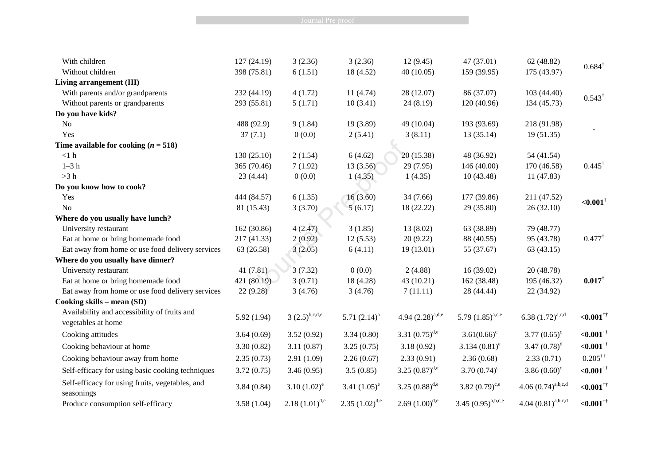**Example 2018** Journal Pre-proof

| With children                                                      | 127(24.19)  | 3(2.36)            | 3(2.36)             | 12(9.45)              | 47 (37.01)              | 62(48.82)               |                          |
|--------------------------------------------------------------------|-------------|--------------------|---------------------|-----------------------|-------------------------|-------------------------|--------------------------|
| Without children                                                   | 398 (75.81) | 6(1.51)            | 18 (4.52)           | 40(10.05)             | 159 (39.95)             | 175 (43.97)             | $0.684^{\dagger}$        |
| Living arrangement (III)                                           |             |                    |                     |                       |                         |                         |                          |
| With parents and/or grandparents                                   | 232 (44.19) | 4(1.72)            | 11(4.74)            | 28 (12.07)            | 86 (37.07)              | 103 (44.40)             |                          |
| Without parents or grandparents                                    | 293 (55.81) | 5(1.71)            | 10(3.41)            | 24(8.19)              | 120 (40.96)             | 134 (45.73)             | $0.543^{\dagger}$        |
| Do you have kids?                                                  |             |                    |                     |                       |                         |                         |                          |
| N <sub>o</sub>                                                     | 488 (92.9)  | 9(1.84)            | 19(3.89)            | 49 (10.04)            | 193 (93.69)             | 218 (91.98)             |                          |
| Yes                                                                | 37(7.1)     | 0(0.0)             | 2(5.41)             | 3(8.11)               | 13 (35.14)              | 19(51.35)               |                          |
| Time available for cooking $(n = 518)$                             |             |                    |                     |                       |                         |                         |                          |
| $<1~\rm{h}$                                                        | 130(25.10)  | 2(1.54)            | 6(4.62)             | 20 (15.38)            | 48 (36.92)              | 54 (41.54)              |                          |
| $1-3h$                                                             | 365 (70.46) | 7(1.92)            | 13(3.56)            | 29 (7.95)             | 146(40.00)              | 170 (46.58)             | $0.445^{\dagger}$        |
| >3 h                                                               | 23(4.44)    | 0(0.0)             | 1(4.35)             | 1(4.35)               | 10(43.48)               | 11 (47.83)              |                          |
| Do you know how to cook?                                           |             |                    |                     |                       |                         |                         |                          |
| Yes                                                                | 444 (84.57) | 6(1.35)            | 16(3.60)            | 34 (7.66)             | 177 (39.86)             | 211 (47.52)             | ${<}0.001$ <sup>†</sup>  |
| No                                                                 | 81 (15.43)  | 3(3.70)            | 5(6.17)             | 18 (22.22)            | 29 (35.80)              | 26 (32.10)              |                          |
| Where do you usually have lunch?                                   |             |                    |                     |                       |                         |                         |                          |
| University restaurant                                              | 162 (30.86) | 4(2.47)            | 3(1.85)             | 13 (8.02)             | 63 (38.89)              | 79 (48.77)              |                          |
| Eat at home or bring homemade food                                 | 217 (41.33) | 2(0.92)            | 12(5.53)            | 20(9.22)              | 88 (40.55)              | 95 (43.78)              | $0.477^{\dagger}$        |
| Eat away from home or use food delivery services                   | 63 (26.58)  | 3(2.05)            | 6(4.11)             | 19 (13.01)            | 55 (37.67)              | 63(43.15)               |                          |
| Where do you usually have dinner?                                  |             |                    |                     |                       |                         |                         |                          |
| University restaurant                                              | 41(7.81)    | 3(7.32)            | 0(0.0)              | 2(4.88)               | 16(39.02)               | 20 (48.78)              |                          |
| Eat at home or bring homemade food                                 | 421 (80.19) | 3(0.71)            | 18 (4.28)           | 43 (10.21)            | 162 (38.48)             | 195 (46.32)             | $0.017^{\dagger}$        |
| Eat away from home or use food delivery services                   | 22(9.28)    | 3(4.76)            | 3(4.76)             | 7(11.11)              | 28 (44.44)              | 22 (34.92)              |                          |
| Cooking skills - mean (SD)                                         |             |                    |                     |                       |                         |                         |                          |
| Availability and accessibility of fruits and<br>vegetables at home | 5.92(1.94)  | $3(2.5)^{b,c,d,e}$ | 5.71 $(2.14)^a$     | 4.94 $(2.28)^{a,d,e}$ | 5.79 $(1.85)^{a,c,e}$   | 6.38 $(1.72)^{a,c,d}$   | ${<}0.001$ <sup>††</sup> |
| Cooking attitudes                                                  | 3.64(0.69)  | 3.52(0.92)         | 3.34(0.80)          | 3.31 $(0.75)^{d,e}$   | $3.61(0.66)^c$          | 3.77 $(0.65)^{\circ}$   | ${<}0.001$ <sup>††</sup> |
| Cooking behaviour at home                                          | 3.30(0.82)  | 3.11(0.87)         | 3.25(0.75)          | 3.18(0.92)            | $3.134(0.81)^e$         | 3.47 $(0.78)^d$         | ${<}0.001$ <sup>††</sup> |
| Cooking behaviour away from home                                   | 2.35(0.73)  | 2.91(1.09)         | 2.26(0.67)          | 2.33(0.91)            | 2.36(0.68)              | 2.33(0.71)              | $0.205$ <sup>††</sup>    |
| Self-efficacy for using basic cooking techniques                   | 3.72(0.75)  | 3.46(0.95)         | 3.5(0.85)           | 3.25 $(0.87)^{d,e}$   | 3.70 $(0.74)^c$         | 3.86 $(0.60)^c$         | $<,0.001$ <sup>††</sup>  |
| Self-efficacy for using fruits, vegetables, and                    | 3.84(0.84)  | 3.10 $(1.02)^e$    | 3.41 $(1.05)^e$     | 3.25 $(0.88)^{d,e}$   | 3.82 $(0.79)^{c,e}$     | $4.06(0.74)^{a,b,c,d}$  | ${<}0.001$ <sup>††</sup> |
| seasonings<br>Produce consumption self-efficacy                    | 3.58(1.04)  | $2.18(1.01)^{d,e}$ | $2.35 (1.02)^{d,e}$ | $2.69(1.00)^{d,e}$    | $3.45 (0.95)^{a,b,c,e}$ | 4.04 $(0.81)^{a,b,c,d}$ | ${<}0.001$ <sup>††</sup> |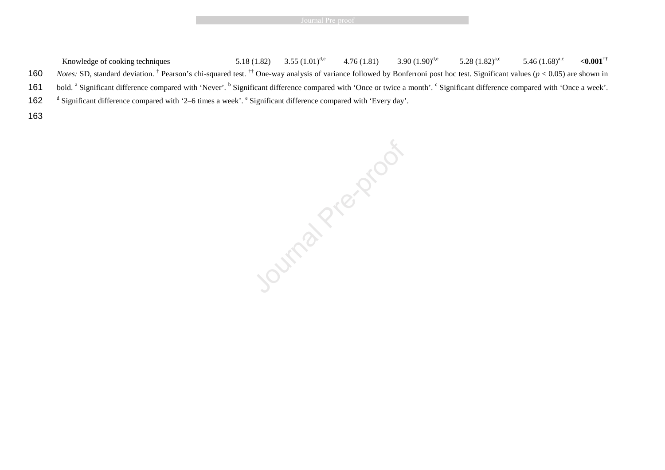|  | Journal Pre-proof |  |  |  |
|--|-------------------|--|--|--|
|  |                   |  |  |  |

Knowledge of cooking techniques 5.18 (1.82)  $3.55 (1.01)^{d,e}$   $4.76 (1.81)$   $3.90 (1.90)^{d,e}$   $5.28 (1.82)^{a,c}$   $5.46 (1.68)^{a,c}$   $\langle 0.001^{\dagger\dagger}$ **160** Notes: SD, standard deviation. <sup>†</sup> Pearson's chi-squared test. <sup>††</sup> One-way analysis of variance followed by Bonferroni post hoc test. Significant values ( $p < 0.05$ ) are shown in 161 bold. <sup>a</sup> Significant difference compared with 'Never'. <sup>b</sup> Significant difference compared with 'Once or twice a month'. <sup>c</sup> Significant difference compared with 'Once a week'. 162 <sup>d</sup> Significant difference compared with '2–6 times a week'. <sup>e</sup> Significant difference compared with 'Every day'. 163

Journal President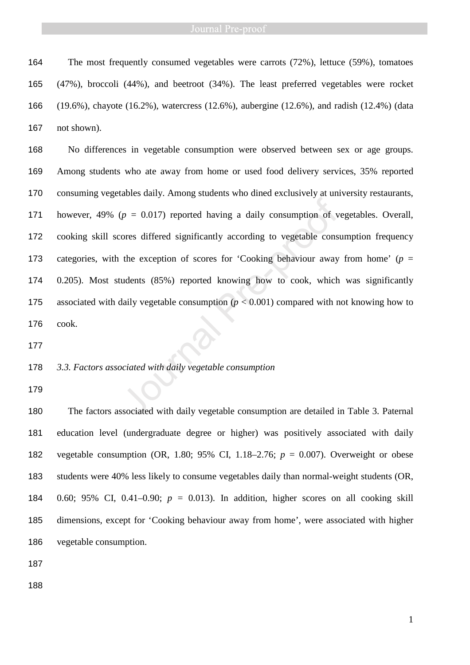### Journal Pre-proof

The most frequently consumed vegetables were carrots (72%), lettuce (59%), tomatoes (47%), broccoli (44%), and beetroot (34%). The least preferred vegetables were rocket (19.6%), chayote (16.2%), watercress (12.6%), aubergine (12.6%), and radish (12.4%) (data not shown).

No differences in vegetable consumption were observed between sex or age groups. Among students who ate away from home or used food delivery services, 35% reported consuming vegetables daily. Among students who dined exclusively at university restaurants, however, 49% (*p* = 0.017) reported having a daily consumption of vegetables. Overall, cooking skill scores differed significantly according to vegetable consumption frequency 173 categories, with the exception of scores for 'Cooking behaviour away from home' ( $p =$ 0.205). Most students (85%) reported knowing how to cook, which was significantly 175 associated with daily vegetable consumption  $(p < 0.001)$  compared with not knowing how to cook.  $(p = 0.017)$  reported having a daily consumption of v<br>ores differed significantly according to vegetable cons<br>the exception of scores for 'Cooking behaviour away<br>udents (85%) reported knowing how to cook, which<br>haily veget

# *3.3. Factors associated with daily vegetable consumption*

The factors associated with daily vegetable consumption are detailed in Table 3. Paternal education level (undergraduate degree or higher) was positively associated with daily vegetable consumption (OR, 1.80; 95% CI, 1.18–2.76; *p* = 0.007). Overweight or obese students were 40% less likely to consume vegetables daily than normal-weight students (OR, 184 0.60; 95% CI, 0.41–0.90;  $p = 0.013$ ). In addition, higher scores on all cooking skill dimensions, except for 'Cooking behaviour away from home', were associated with higher vegetable consumption.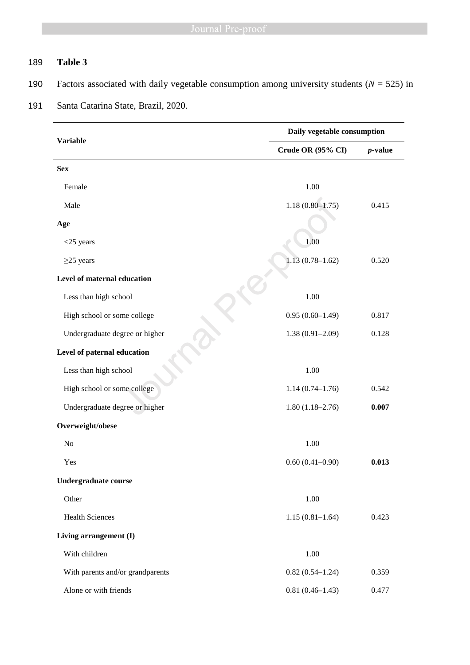# 189 **Table 3**

190 Factors associated with daily vegetable consumption among university students  $(N = 525)$  in

# **Variable Daily vegetable consumption Crude OR (95% CI)** *p***-value Sex**  Female 1.00 Male 1.18 (0.80–1.75) 0.415 **Age**   $\langle 25 \rangle$  years 1.00  $\geq$ 25 years 1.13 (0.78–1.62) 0.520 **Level of maternal education**  Less than high school 1.00 High school or some college  $0.95 (0.60-1.49)$   $0.817$ Undergraduate degree or higher 1.38 (0.91–2.09) 0.128 **Level of paternal education**  Less than high school 1.00 High school or some college 1.14 (0.74–1.76) 0.542 Undergraduate degree or higher 1.80 (1.18–2.76) **0.007 Overweight/obese**   $N<sub>0</sub>$  1.00 Yes 0.60 (0.41–0.90) **0.013 Undergraduate course**  Other 1.00 Health Sciences 1.15 (0.81–1.64) 0.423 **Living arrangement (I)** With children 1.00 With parents and/or grandparents 0.82 (0.54–1.24) 0.359 Alone or with friends 0.81 (0.46–1.43) 0.477 1.18 (0.80–1.75)<br>
1.18 (0.80–1.75)<br>
education<br>
nool<br>
me college<br>
0.95 (0.60–1.49)<br>
ducation<br>
nool<br>
1.38 (0.91–2.09)<br>
ducation<br>
1.38 (0.91–2.09)<br>
1.38 (0.91–2.09)<br>
1.38 (0.91–2.09)<br>
1.38 (0.91–2.09)<br>
1.4 (0.74–1.76)<br>
gree

### 191 Santa Catarina State, Brazil, 2020.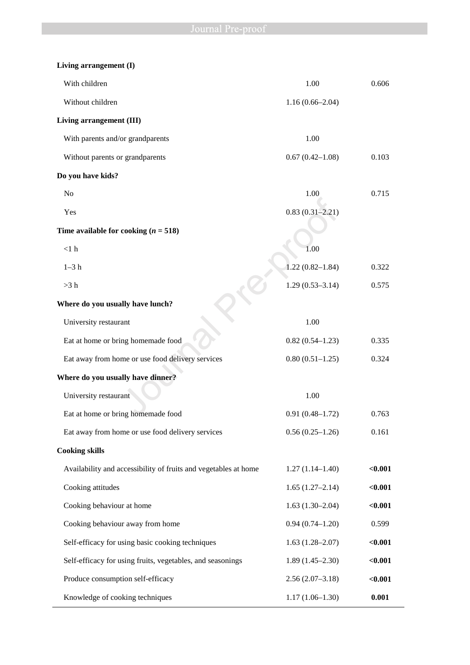| Living arrangement (I)                                          |                     |         |
|-----------------------------------------------------------------|---------------------|---------|
| With children                                                   | 1.00                | 0.606   |
| Without children                                                | $1.16(0.66 - 2.04)$ |         |
| Living arrangement (III)                                        |                     |         |
| With parents and/or grandparents                                | 1.00                |         |
| Without parents or grandparents                                 | $0.67(0.42 - 1.08)$ | 0.103   |
| Do you have kids?                                               |                     |         |
| No                                                              | 1.00                | 0.715   |
| Yes                                                             | $0.83(0.31-2.21)$   |         |
| Time available for cooking $(n = 518)$                          |                     |         |
| $<1~\rm{h}$                                                     | 1.00                |         |
| $1-3$ h                                                         | $1.22(0.82 - 1.84)$ | 0.322   |
| >3 h                                                            | $1.29(0.53 - 3.14)$ | 0.575   |
| Where do you usually have lunch?                                |                     |         |
| University restaurant                                           | 1.00                |         |
| Eat at home or bring homemade food                              | $0.82(0.54 - 1.23)$ | 0.335   |
| Eat away from home or use food delivery services                | $0.80(0.51-1.25)$   | 0.324   |
| Where do you usually have dinner?                               |                     |         |
| University restaurant                                           | 1.00                |         |
| Eat at home or bring homemade food                              | $0.91(0.48 - 1.72)$ | 0.763   |
| Eat away from home or use food delivery services                | $0.56(0.25-1.26)$   | 0.161   |
| <b>Cooking skills</b>                                           |                     |         |
| Availability and accessibility of fruits and vegetables at home | $1.27(1.14-1.40)$   | $0.001$ |
| Cooking attitudes                                               | $1.65(1.27-2.14)$   | $0.001$ |
| Cooking behaviour at home                                       | $1.63(1.30-2.04)$   | $0.001$ |
| Cooking behaviour away from home                                | $0.94(0.74 - 1.20)$ | 0.599   |
| Self-efficacy for using basic cooking techniques                | $1.63(1.28 - 2.07)$ | $0.001$ |
| Self-efficacy for using fruits, vegetables, and seasonings      | $1.89(1.45-2.30)$   | $0.001$ |
| Produce consumption self-efficacy                               | $2.56(2.07-3.18)$   | $0.001$ |
| Knowledge of cooking techniques                                 | $1.17(1.06-1.30)$   | 0.001   |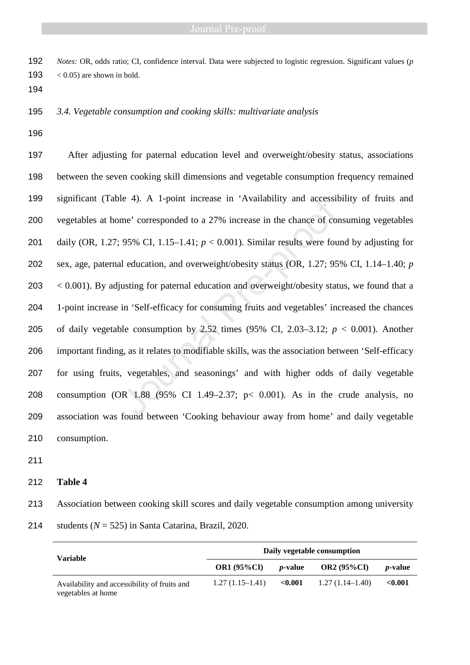*Notes:* OR, odds ratio; CI, confidence interval. Data were subjected to logistic regression. Significant values (*p* 193  $\leq 0.05$  are shown in bold.

*3.4. Vegetable consumption and cooking skills: multivariate analysis* 

After adjusting for paternal education level and overweight/obesity status, associations between the seven cooking skill dimensions and vegetable consumption frequency remained significant (Table 4). A 1-point increase in 'Availability and accessibility of fruits and vegetables at home' corresponded to a 27% increase in the chance of consuming vegetables daily (OR, 1.27; 95% CI, 1.15–1.41; *p* < 0.001). Similar results were found by adjusting for sex, age, paternal education, and overweight/obesity status (OR, 1.27; 95% CI, 1.14–1.40; *p* < 0.001). By adjusting for paternal education and overweight/obesity status, we found that a 1-point increase in 'Self-efficacy for consuming fruits and vegetables' increased the chances 205 of daily vegetable consumption by 2.52 times  $(95\% \text{ CI}, 2.03-3.12; p < 0.001)$ . Another important finding, as it relates to modifiable skills, was the association between 'Self-efficacy for using fruits, vegetables, and seasonings' and with higher odds of daily vegetable consumption (OR 1.88 (95% CI 1.49–2.37; p< 0.001). As in the crude analysis, no association was found between 'Cooking behaviour away from home' and daily vegetable consumption. le 4). A 1-point increase in 'Availability and accessit<br>me' corresponded to a 27% increase in the chance of cor<br>95% CI, 1.15–1.41;  $p < 0.001$ ). Similar results were fou<br>il education, and overweight/obesity status (OR, 1.2

# **Table 4**

Association between cooking skill scores and daily vegetable consumption among university students (*N* = 525) in Santa Catarina, Brazil, 2020.

| Variable                                                           | Daily vegetable consumption |                 |                    |                 |  |  |  |
|--------------------------------------------------------------------|-----------------------------|-----------------|--------------------|-----------------|--|--|--|
|                                                                    | <b>OR1 (95%CI)</b>          | <i>p</i> -value | <b>OR2</b> (95%CI) | <i>p</i> -value |  |  |  |
| Availability and accessibility of fruits and<br>vegetables at home | $1.27(1.15-1.41)$           | ${<}0.001$      | $1.27(1.14-1.40)$  | < 0.001         |  |  |  |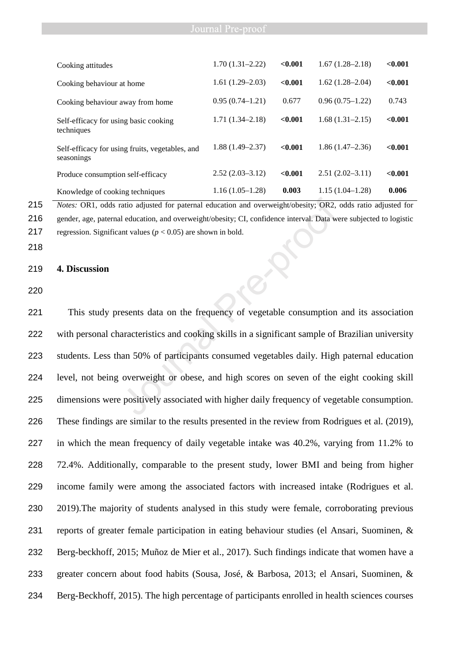| Journal Pre-proof |  |  |  |  |
|-------------------|--|--|--|--|
|                   |  |  |  |  |

| Cooking attitudes                                             | $1.70(1.31 - 2.22)$ | < 0.001 | $1.67(1.28 - 2.18)$ | < 0.001 |
|---------------------------------------------------------------|---------------------|---------|---------------------|---------|
| Cooking behaviour at home                                     | $1.61(1.29-2.03)$   | < 0.001 | $1.62(1.28-2.04)$   | < 0.001 |
| Cooking behaviour away from home                              | $0.95(0.74 - 1.21)$ | 0.677   | $0.96(0.75-1.22)$   | 0.743   |
| Self-efficacy for using basic cooking<br>techniques           | $1.71(1.34 - 2.18)$ | < 0.001 | $1.68(1.31-2.15)$   | < 0.001 |
| Self-efficacy for using fruits, vegetables, and<br>seasonings | $1.88(1.49 - 2.37)$ | < 0.001 | $1.86(1.47-2.36)$   | < 0.001 |
| Produce consumption self-efficacy                             | $2.52(2.03 - 3.12)$ | < 0.001 | $2.51(2.02-3.11)$   | < 0.001 |
| Knowledge of cooking techniques                               | $1.16(1.05-1.28)$   | 0.003   | $1.15(1.04-1.28)$   | 0.006   |
|                                                               |                     |         |                     |         |

215 *Notes:* OR1, odds ratio adjusted for paternal education and overweight/obesity; OR2, odds ratio adjusted for 216 gender, age, paternal education, and overweight/obesity; CI, confidence interval. Data were subjected to logistic 217 regression. Significant values ( $p < 0.05$ ) are shown in bold.

218

### 219 **4. Discussion**

220

This study presents data on the frequency of vegetable consumption and its association with personal characteristics and cooking skills in a significant sample of Brazilian university students. Less than 50% of participants consumed vegetables daily. High paternal education level, not being overweight or obese, and high scores on seven of the eight cooking skill dimensions were positively associated with higher daily frequency of vegetable consumption. These findings are similar to the results presented in the review from Rodrigues et al. (2019), in which the mean frequency of daily vegetable intake was 40.2%, varying from 11.2% to 72.4%. Additionally, comparable to the present study, lower BMI and being from higher income family were among the associated factors with increased intake (Rodrigues et al. 2019).The majority of students analysed in this study were female, corroborating previous reports of greater female participation in eating behaviour studies (el Ansari, Suominen, & Berg-beckhoff, 2015; Muñoz de Mier et al., 2017). Such findings indicate that women have a greater concern about food habits (Sousa, José, & Barbosa, 2013; el Ansari, Suominen, & Berg-Beckhoff, 2015). The high percentage of participants enrolled in health sciences courses Traition and overweight/obesity; OR2, and education, and overweight/obesity; CI, confidence interval. Data we<br>not values  $(p < 0.05)$  are shown in bold.<br>The shown in bold.<br>The seents data on the frequency of vegetable consu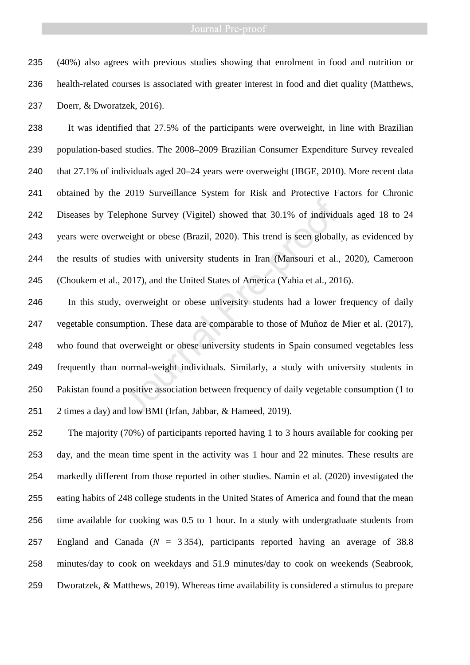(40%) also agrees with previous studies showing that enrolment in food and nutrition or health-related courses is associated with greater interest in food and diet quality (Matthews, Doerr, & Dworatzek, 2016).

It was identified that 27.5% of the participants were overweight, in line with Brazilian population-based studies. The 2008–2009 Brazilian Consumer Expenditure Survey revealed that 27.1% of individuals aged 20–24 years were overweight (IBGE, 2010). More recent data obtained by the 2019 Surveillance System for Risk and Protective Factors for Chronic Diseases by Telephone Survey (Vigitel) showed that 30.1% of individuals aged 18 to 24 years were overweight or obese (Brazil, 2020). This trend is seen globally, as evidenced by the results of studies with university students in Iran (Mansouri et al., 2020), Cameroon (Choukem et al., 2017), and the United States of America (Yahia et al., 2016).

In this study, overweight or obese university students had a lower frequency of daily vegetable consumption. These data are comparable to those of Muñoz de Mier et al. (2017), who found that overweight or obese university students in Spain consumed vegetables less frequently than normal-weight individuals. Similarly, a study with university students in Pakistan found a positive association between frequency of daily vegetable consumption (1 to 2 times a day) and low BMI (Irfan, Jabbar, & Hameed, 2019). ephone Survey (Vigitel) showed that 30.1% of individum<br>weight or obese (Brazil, 2020). This trend is seen globall<br>udies with university students in Iran (Mansouri et al.,<br>2017), and the United States of America (Yahia et a

The majority (70%) of participants reported having 1 to 3 hours available for cooking per day, and the mean time spent in the activity was 1 hour and 22 minutes. These results are markedly different from those reported in other studies. Namin et al. (2020) investigated the eating habits of 248 college students in the United States of America and found that the mean time available for cooking was 0.5 to 1 hour. In a study with undergraduate students from England and Canada (*N* = 3 354), participants reported having an average of 38.8 minutes/day to cook on weekdays and 51.9 minutes/day to cook on weekends (Seabrook, Dworatzek, & Matthews, 2019). Whereas time availability is considered a stimulus to prepare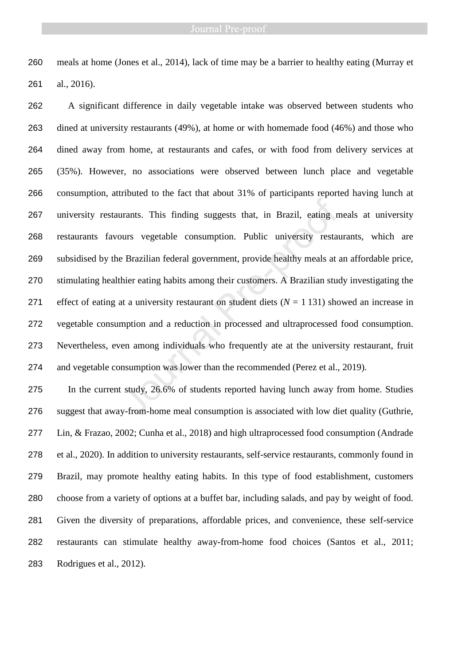meals at home (Jones et al., 2014), lack of time may be a barrier to healthy eating (Murray et al., 2016).

A significant difference in daily vegetable intake was observed between students who dined at university restaurants (49%), at home or with homemade food (46%) and those who dined away from home, at restaurants and cafes, or with food from delivery services at (35%). However, no associations were observed between lunch place and vegetable consumption, attributed to the fact that about 31% of participants reported having lunch at university restaurants. This finding suggests that, in Brazil, eating meals at university restaurants favours vegetable consumption. Public university restaurants, which are subsidised by the Brazilian federal government, provide healthy meals at an affordable price, stimulating healthier eating habits among their customers. A Brazilian study investigating the 271 effect of eating at a university restaurant on student diets  $(N = 1 131)$  showed an increase in vegetable consumption and a reduction in processed and ultraprocessed food consumption. Nevertheless, even among individuals who frequently ate at the university restaurant, fruit and vegetable consumption was lower than the recommended (Perez et al., 2019). The Franch Contains and the French Control of the same sension of the Brazilian federal government, provide healthy meals at a hier eating habits among their customers. A Brazilian stude at a university restaurant on stud

In the current study, 26.6% of students reported having lunch away from home. Studies suggest that away-from-home meal consumption is associated with low diet quality (Guthrie, Lin, & Frazao, 2002; Cunha et al., 2018) and high ultraprocessed food consumption (Andrade et al., 2020). In addition to university restaurants, self-service restaurants, commonly found in Brazil, may promote healthy eating habits. In this type of food establishment, customers choose from a variety of options at a buffet bar, including salads, and pay by weight of food. Given the diversity of preparations, affordable prices, and convenience, these self-service restaurants can stimulate healthy away-from-home food choices (Santos et al., 2011; Rodrigues et al., 2012).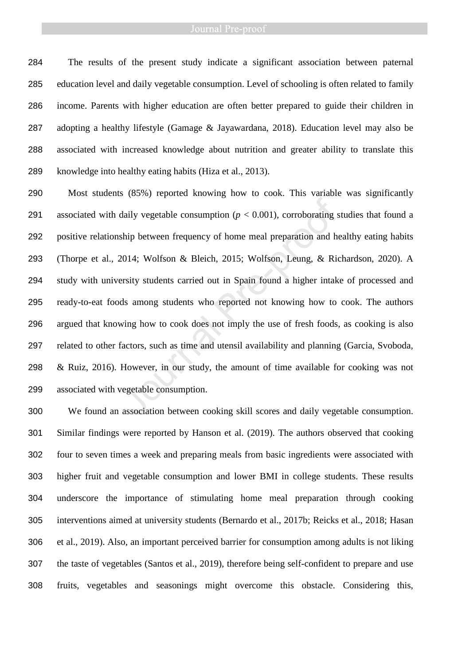The results of the present study indicate a significant association between paternal education level and daily vegetable consumption. Level of schooling is often related to family income. Parents with higher education are often better prepared to guide their children in adopting a healthy lifestyle (Gamage & Jayawardana, 2018). Education level may also be associated with increased knowledge about nutrition and greater ability to translate this knowledge into healthy eating habits (Hiza et al., 2013).

Most students (85%) reported knowing how to cook. This variable was significantly 291 associated with daily vegetable consumption  $(p < 0.001)$ , corroborating studies that found a positive relationship between frequency of home meal preparation and healthy eating habits (Thorpe et al., 2014; Wolfson & Bleich, 2015; Wolfson, Leung, & Richardson, 2020). A study with university students carried out in Spain found a higher intake of processed and ready-to-eat foods among students who reported not knowing how to cook. The authors argued that knowing how to cook does not imply the use of fresh foods, as cooking is also related to other factors, such as time and utensil availability and planning (Garcia, Svoboda, & Ruiz, 2016). However, in our study, the amount of time available for cooking was not associated with vegetable consumption. daily vegetable consumption ( $p < 0.001$ ), corroborating s<br>ship between frequency of home meal preparation and he<br>2014; Wolfson & Bleich, 2015; Wolfson, Leung, & Ric<br>ersity students carried out in Spain found a higher inta

We found an association between cooking skill scores and daily vegetable consumption. Similar findings were reported by Hanson et al. (2019). The authors observed that cooking four to seven times a week and preparing meals from basic ingredients were associated with higher fruit and vegetable consumption and lower BMI in college students. These results underscore the importance of stimulating home meal preparation through cooking interventions aimed at university students (Bernardo et al., 2017b; Reicks et al., 2018; Hasan et al., 2019). Also, an important perceived barrier for consumption among adults is not liking the taste of vegetables (Santos et al., 2019), therefore being self-confident to prepare and use fruits, vegetables and seasonings might overcome this obstacle. Considering this,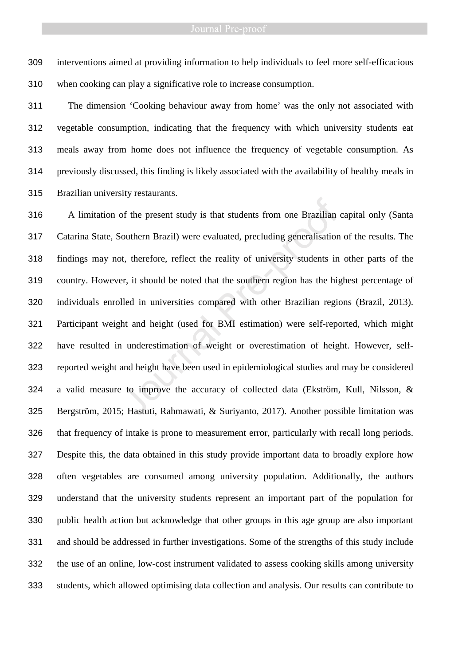interventions aimed at providing information to help individuals to feel more self-efficacious when cooking can play a significative role to increase consumption.

The dimension 'Cooking behaviour away from home' was the only not associated with vegetable consumption, indicating that the frequency with which university students eat meals away from home does not influence the frequency of vegetable consumption. As previously discussed, this finding is likely associated with the availability of healthy meals in Brazilian university restaurants.

A limitation of the present study is that students from one Brazilian capital only (Santa Catarina State, Southern Brazil) were evaluated, precluding generalisation of the results. The findings may not, therefore, reflect the reality of university students in other parts of the country. However, it should be noted that the southern region has the highest percentage of individuals enrolled in universities compared with other Brazilian regions (Brazil, 2013). Participant weight and height (used for BMI estimation) were self-reported, which might have resulted in underestimation of weight or overestimation of height. However, self-reported weight and height have been used in epidemiological studies and may be considered a valid measure to improve the accuracy of collected data (Ekström, Kull, Nilsson, & Bergström, 2015; Hastuti, Rahmawati, & Suriyanto, 2017). Another possible limitation was that frequency of intake is prone to measurement error, particularly with recall long periods. Despite this, the data obtained in this study provide important data to broadly explore how often vegetables are consumed among university population. Additionally, the authors understand that the university students represent an important part of the population for public health action but acknowledge that other groups in this age group are also important and should be addressed in further investigations. Some of the strengths of this study include the use of an online, low-cost instrument validated to assess cooking skills among university students, which allowed optimising data collection and analysis. Our results can contribute to of the present study is that students from one Brazilian<br>Jouthern Brazil) were evaluated, precluding generalisation<br>ot, therefore, reflect the reality of university students in<br>er, it should be noted that the southern regi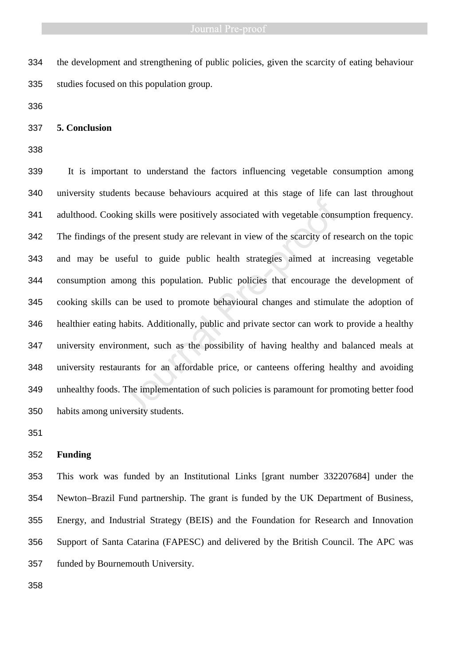the development and strengthening of public policies, given the scarcity of eating behaviour studies focused on this population group.

### **5. Conclusion**

It is important to understand the factors influencing vegetable consumption among university students because behaviours acquired at this stage of life can last throughout adulthood. Cooking skills were positively associated with vegetable consumption frequency. The findings of the present study are relevant in view of the scarcity of research on the topic and may be useful to guide public health strategies aimed at increasing vegetable consumption among this population. Public policies that encourage the development of cooking skills can be used to promote behavioural changes and stimulate the adoption of healthier eating habits. Additionally, public and private sector can work to provide a healthy university environment, such as the possibility of having healthy and balanced meals at university restaurants for an affordable price, or canteens offering healthy and avoiding unhealthy foods. The implementation of such policies is paramount for promoting better food habits among university students. Ing skills were positively associated with vegetable constrained with vegetable constrained the present study are relevant in view of the scarcity of reseful to guide public health strategies aimed at incompage than be use

### **Funding**

This work was funded by an Institutional Links [grant number 332207684] under the Newton–Brazil Fund partnership. The grant is funded by the UK Department of Business, Energy, and Industrial Strategy (BEIS) and the Foundation for Research and Innovation Support of Santa Catarina (FAPESC) and delivered by the British Council. The APC was funded by Bournemouth University.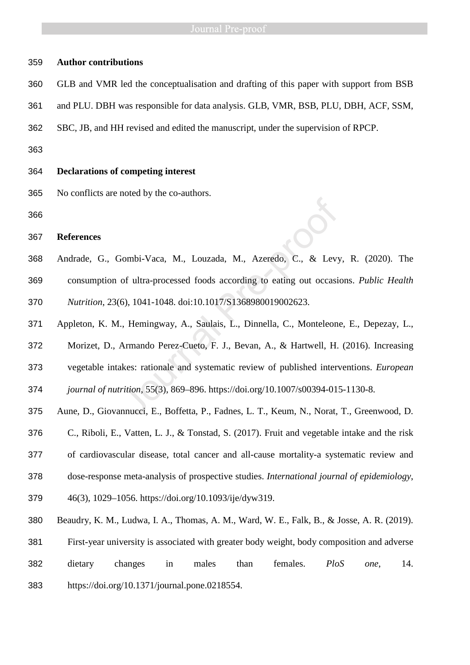# **Author contributions**

- GLB and VMR led the conceptualisation and drafting of this paper with support from BSB
- and PLU. DBH was responsible for data analysis. GLB, VMR, BSB, PLU, DBH, ACF, SSM,
- SBC, JB, and HH revised and edited the manuscript, under the supervision of RPCP.
- 

# **Declarations of competing interest**

- No conflicts are noted by the co-authors.
- 

### **References**

- Andrade, G., Gombi-Vaca, M., Louzada, M., Azeredo, C., & Levy, R. (2020). The consumption of ultra-processed foods according to eating out occasions. *Public Health Nutrition*, 23(6), 1041-1048. doi:10.1017/S1368980019002623. Freedo, C., & Levy<br>
19 Fombi-Vaca, M., Louzada, M., Azeredo, C., & Levy<br>
19 For ultra-processed foods according to eating out occasis<br>
19 For using the action of the state of the Memando Perez-Cueto, F. J., Bevan, A., & Ha
- Appleton, K. M., Hemingway, A., Saulais, L., Dinnella, C., Monteleone, E., Depezay, L.,
- Morizet, D., Armando Perez-Cueto, F. J., Bevan, A., & Hartwell, H. (2016). Increasing
- vegetable intakes: rationale and systematic review of published interventions. *European*

*journal of nutrition,* 55(3), 869–896. https://doi.org/10.1007/s00394-015-1130-8.

- Aune, D., Giovannucci, E., Boffetta, P., Fadnes, L. T., Keum, N., Norat, T., Greenwood, D.
- C., Riboli, E., Vatten, L. J., & Tonstad, S. (2017). Fruit and vegetable intake and the risk
- of cardiovascular disease, total cancer and all-cause mortality-a systematic review and
- dose-response meta-analysis of prospective studies. *International journal of epidemiology*,
- 46(3), 1029–1056. https://doi.org/10.1093/ije/dyw319.
- Beaudry, K. M., Ludwa, I. A., Thomas, A. M., Ward, W. E., Falk, B., & Josse, A. R. (2019).
- First-year university is associated with greater body weight, body composition and adverse
- dietary changes in males than females. *PloS one*, 14.
- https://doi.org/10.1371/journal.pone.0218554.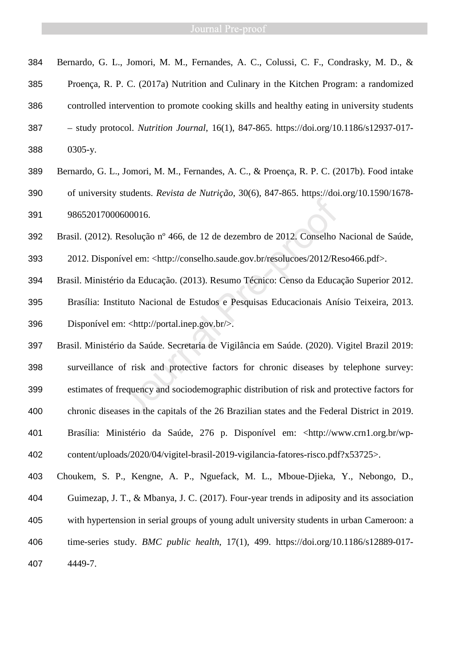- Bernardo, G. L., Jomori, M. M., Fernandes, A. C., Colussi, C. F., Condrasky, M. D., &
- Proença, R. P. C. (2017a) Nutrition and Culinary in the Kitchen Program: a randomized
- controlled intervention to promote cooking skills and healthy eating in university students
- study protocol. *Nutrition Journal*, 16(1), 847-865. https://doi.org/10.1186/s12937-017- 0305-y.
- Bernardo, G. L., Jomori, M. M., Fernandes, A. C., & Proença, R. P. C. (2017b). Food intake of university students. *Revista de Nutrição*, 30(6), 847-865. https://doi.org/10.1590/1678- 98652017000600016.
- Brasil. (2012). Resolução nº 466, de 12 de dezembro de 2012. Conselho Nacional de Saúde,
- 2012. Disponível em: <http://conselho.saude.gov.br/resolucoes/2012/Reso466.pdf>.
- Brasil. Ministério da Educação. (2013). Resumo Técnico: Censo da Educação Superior 2012. Brasília: Instituto Nacional de Estudos e Pesquisas Educacionais Anísio Teixeira, 2013. Disponível em: <http://portal.inep.gov.br/>.
- Brasil. Ministério da Saúde. Secretaria de Vigilância em Saúde. (2020). Vigitel Brazil 2019: surveillance of risk and protective factors for chronic diseases by telephone survey: estimates of frequency and sociodemographic distribution of risk and protective factors for chronic diseases in the capitals of the 26 Brazilian states and the Federal District in 2019. Brasília: Ministério da Saúde, 276 p. Disponível em: <http://www.crn1.org.br/wp-content/uploads/2020/04/vigitel-brasil-2019-vigilancia-fatores-risco.pdf?x53725>. 600016.<br>
desolução nº 466, de 12 de dezembro de 2012. Conselho lível em: <http://conselho.saude.gov.br/resoluces/2012/Re<br>
o da Educação. (2013). Resumo Técnico: Censo da Educa<br>
tuto Nacional de Estudos e Pesquisas Educaci
- Choukem, S. P., Kengne, A. P., Nguefack, M. L., Mboue-Djieka, Y., Nebongo, D., Guimezap, J. T., & Mbanya, J. C. (2017). Four-year trends in adiposity and its association with hypertension in serial groups of young adult university students in urban Cameroon: a time-series study. *BMC public health*, 17(1), 499. https://doi.org/10.1186/s12889-017- 4449-7.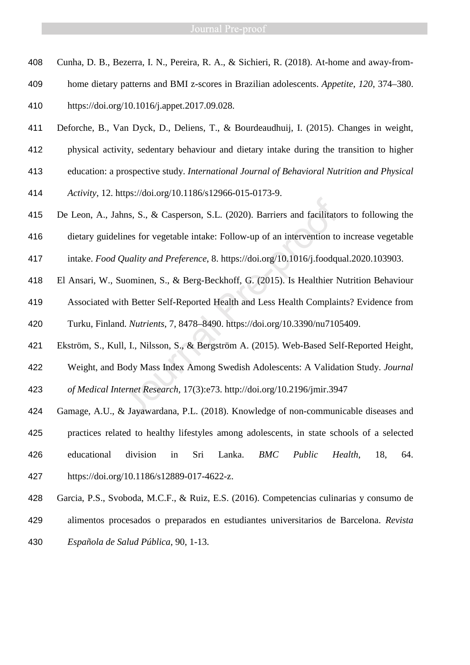- Cunha, D. B., Bezerra, I. N., Pereira, R. A., & Sichieri, R. (2018). At-home and away-from-
- home dietary patterns and BMI z-scores in Brazilian adolescents. *Appetite*, *120*, 374–380.
- https://doi.org/10.1016/j.appet.2017.09.028.
- Deforche, B., Van Dyck, D., Deliens, T., & Bourdeaudhuij, I. (2015). Changes in weight,
- physical activity, sedentary behaviour and dietary intake during the transition to higher
- education: a prospective study. *International Journal of Behavioral Nutrition and Physical*
- *Activity*, 12. https://doi.org/10.1186/s12966-015-0173-9.
- De Leon, A., Jahns, S., & Casperson, S.L. (2020). Barriers and facilitators to following the
- dietary guidelines for vegetable intake: Follow-up of an intervention to increase vegetable
- intake. *Food Quality and Preference*, 8. https://doi.org/10.1016/j.foodqual.2020.103903.
- El Ansari, W., Suominen, S., & Berg-Beckhoff, G. (2015). Is Healthier Nutrition Behaviour
- Associated with Better Self-Reported Health and Less Health Complaints? Evidence from Turku, Finland. *Nutrients*, 7, 8478–8490. https://doi.org/10.3390/nu7105409. Ins, S., & Casperson, S.L. (2020). Barriers and facilitato<br>ines for vegetable intake: Follow-up of an intervention to<br>Quality and Preference, 8. https://doi.org/10.1016/j.foodqu<br>uominen, S., & Berg-Beckhoff, G. (2015). Is
- Ekström, S., Kull, I., Nilsson, S., & Bergström A. (2015). Web-Based Self-Reported Height,
- Weight, and Body Mass Index Among Swedish Adolescents: A Validation Study. *Journal*
- *of Medical Internet Research*, 17(3):e73. http://doi.org/10.2196/jmir.3947
- Gamage, A.U., & Jayawardana, P.L. (2018). Knowledge of non-communicable diseases and
- practices related to healthy lifestyles among adolescents, in state schools of a selected educational division in Sri Lanka. *BMC Public Health*, 18, 64.
- https://doi.org/10.1186/s12889-017-4622-z.
- Garcia, P.S., Svoboda, M.C.F., & Ruiz, E.S. (2016). Competencias culinarias y consumo de
- 
- alimentos procesados o preparados en estudiantes universitarios de Barcelona. *Revista Española de Salud Pública*, 90, 1-13.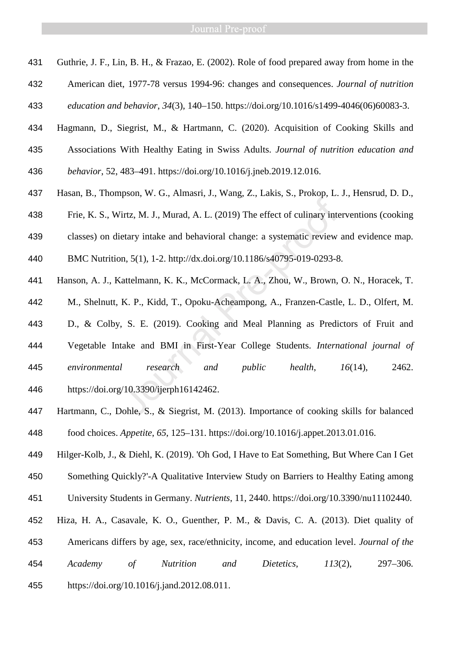- Guthrie, J. F., Lin, B. H., & Frazao, E. (2002). Role of food prepared away from home in the
- American diet, 1977-78 versus 1994-96: changes and consequences. *Journal of nutrition*

*education and behavior*, *34*(3), 140–150. https://doi.org/10.1016/s1499-4046(06)60083-3.

- Hagmann, D., Siegrist, M., & Hartmann, C. (2020). Acquisition of Cooking Skills and
- Associations With Healthy Eating in Swiss Adults. *Journal of nutrition education and behavior*, 52, 483–491. https://doi.org/10.1016/j.jneb.2019.12.016.
- Hasan, B., Thompson, W. G., Almasri, J., Wang, Z., Lakis, S., Prokop, L. J., Hensrud, D. D.,
- Frie, K. S., Wirtz, M. J., Murad, A. L. (2019) The effect of culinary interventions (cooking
- classes) on dietary intake and behavioral change: a systematic review and evidence map.
- BMC Nutrition, 5(1), 1-2. http://dx.doi.org/10.1186/s40795-019-0293-8.
- Hanson, A. J., Kattelmann, K. K., McCormack, L. A., Zhou, W., Brown, O. N., Horacek, T.
- M., Shelnutt, K. P., Kidd, T., Opoku-Acheampong, A., Franzen-Castle, L. D., Olfert, M.
- D., & Colby, S. E. (2019). Cooking and Meal Planning as Predictors of Fruit and
- Vegetable Intake and BMI in First-Year College Students. *International journal of environmental research and public health*, *16*(14), 2462. https://doi.org/10.3390/ijerph16142462. Triz, M. J., Murad, A. L. (2019) The effect of culinary interary intake and behavioral change: a systematic review<br>nn, 5(1), 1-2. http://dx.doi.org/10.1186/s40795-019-0293-8<br>Lattelmann, K. K., McCormack, L. A., Zhou, W.,
- 
- Hartmann, C., Dohle, S., & Siegrist, M. (2013). Importance of cooking skills for balanced food choices. *Appetite*, *65*, 125–131. https://doi.org/10.1016/j.appet.2013.01.016.
- Hilger-Kolb, J., & Diehl, K. (2019). 'Oh God, I Have to Eat Something, But Where Can I Get
- Something Quickly?'-A Qualitative Interview Study on Barriers to Healthy Eating among
- University Students in Germany. *Nutrients*, 11, 2440. https://doi.org/10.3390/nu11102440.
- Hiza, H. A., Casavale, K. O., Guenther, P. M., & Davis, C. A. (2013). Diet quality of Americans differs by age, sex, race/ethnicity, income, and education level. *Journal of the*
- *Academy of Nutrition and Dietetics*, *113*(2), 297–306.
- https://doi.org/10.1016/j.jand.2012.08.011.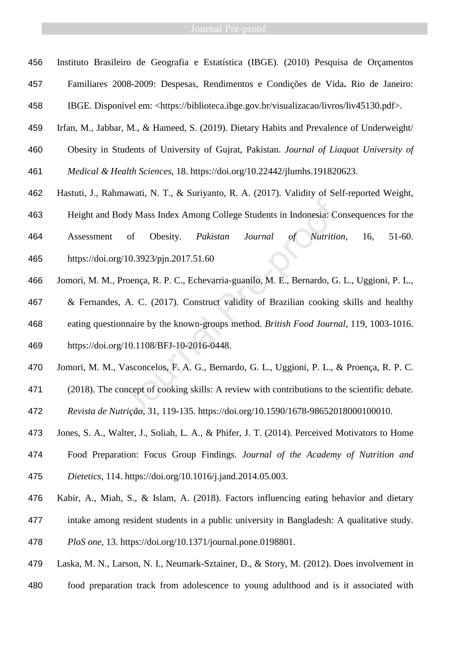- Instituto Brasileiro de Geografia e Estatística (IBGE). (2010) Pesquisa de Orçamentos Familiares 2008-2009: Despesas, Rendimentos e Condições de Vida**.** Rio de Janeiro: IBGE. Disponível em: <https://biblioteca.ibge.gov.br/visualizacao/livros/liv45130.pdf>.
- Irfan, M., Jabbar, M., & Hameed, S. (2019). Dietary Habits and Prevalence of Underweight/
- Obesity in Students of University of Gujrat, Pakistan. *Journal of Liaquat University of*
- *Medical & Health Sciences*, 18. https://doi.org/10.22442/jlumhs.191820623.
- Hastuti, J., Rahmawati, N. T., & Suriyanto, R. A. (2017). Validity of Self-reported Weight,
- Height and Body Mass Index Among College Students in Indonesia: Consequences for the
- Assessment of Obesity. *Pakistan Journal of Nutrition*, 16, 51-60. https://doi.org/10.3923/pjn.2017.51.60
- Jomori, M. M., Proença, R. P. C., Echevarria-guanilo, M. E., Bernardo, G. L., Uggioni, P. L.,
- & Fernandes, A. C. (2017). Construct validity of Brazilian cooking skills and healthy eating questionnaire by the known-groups method. *British Food Journal*, 119, 1003-1016. https://doi.org/10.1108/BFJ-10-2016-0448. ody Mass Index Among College Students in Indonesia: Comparent College Students in Indonesia: Comparent College Students in Indonesia: Comparent College Students of Nutrition<br>
10.3923/pjn.2017.51.60<br>
Proença, R. P. C., Eche
- Jomori, M. M., Vasconcelos, F. A. G., Bernardo, G. L., Uggioni, P. L., & Proença, R. P. C.
- (2018). The concept of cooking skills: A review with contributions to the scientific debate.
- *Revista de Nutrição*, 31, 119-135. https://doi.org/10.1590/1678-98652018000100010.
- Jones, S. A., Walter, J., Soliah, L. A., & Phifer, J. T. (2014). Perceived Motivators to Home
- Food Preparation: Focus Group Findings. *Journal of the Academy of Nutrition and Dietetics*, 114. https://doi.org/10.1016/j.jand.2014.05.003.
- Kabir, A., Miah, S., & Islam, A. (2018). Factors influencing eating behavior and dietary
- intake among resident students in a public university in Bangladesh: A qualitative study.
- *PloS one*, 13. https://doi.org/10.1371/journal.pone.0198801.
- Laska, M. N., Larson, N. I., Neumark-Sztainer, D., & Story, M. (2012). Does involvement in
- food preparation track from adolescence to young adulthood and is it associated with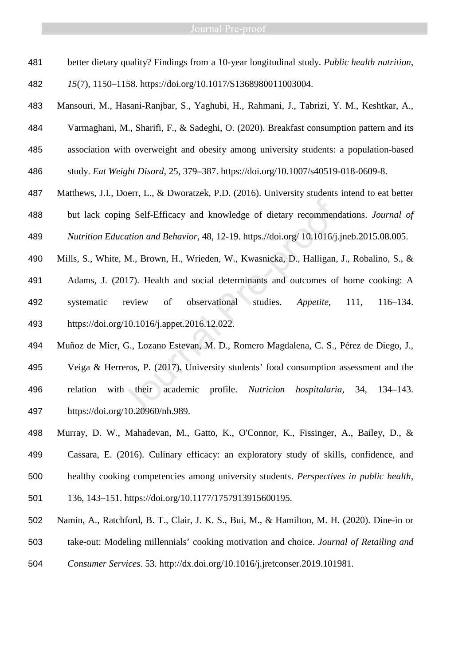better dietary quality? Findings from a 10-year longitudinal study. *Public health nutrition*,

*15*(7), 1150–1158. https://doi.org/10.1017/S1368980011003004.

- Mansouri, M., Hasani-Ranjbar, S., Yaghubi, H., Rahmani, J., Tabrizi, Y. M., Keshtkar, A., Varmaghani, M., Sharifi, F., & Sadeghi, O. (2020). Breakfast consumption pattern and its association with overweight and obesity among university students: a population-based study. *Eat Weight Disord*, 25, 379–387. https://doi.org/10.1007/s40519-018-0609-8.
- Matthews, J.I., Doerr, L., & Dworatzek, P.D. (2016). University students intend to eat better but lack coping Self-Efficacy and knowledge of dietary recommendations. *Journal of Nutrition Education and Behavior*, 48, 12-19. https.//doi.org/ 10.1016/j.jneb.2015.08.005.
- Mills, S., White, M., Brown, H., Wrieden, W., Kwasnicka, D., Halligan, J., Robalino, S., & Adams, J. (2017). Health and social determinants and outcomes of home cooking: A systematic review of observational studies. *Appetite*, 111, 116–134. https://doi.org/10.1016/j.appet.2016.12.022.
- Muñoz de Mier, G., Lozano Estevan, M. D., Romero Magdalena, C. S., Pérez de Diego, J., Veiga & Herreros, P. (2017). University students' food consumption assessment and the relation with their academic profile. *Nutricion hospitalaria*, 34, 134–143. https://doi.org/10.20960/nh.989. ing Self-Efficacy and knowledge of dietary recommenc<br>
cation and Behavior, 48, 12-19. https.//doi.org/ 10.1016/j.<br>
M., Brown, H., Wrieden, W., Kwasnicka, D., Halligan,<br>
017). Health and social determinants and outcomes of<br>
- Murray, D. W., Mahadevan, M., Gatto, K., O'Connor, K., Fissinger, A., Bailey, D., & Cassara, E. (2016). Culinary efficacy: an exploratory study of skills, confidence, and healthy cooking competencies among university students. *Perspectives in public health*, 136, 143–151. https://doi.org/10.1177/1757913915600195.
- Namin, A., Ratchford, B. T., Clair, J. K. S., Bui, M., & Hamilton, M. H. (2020). Dine-in or
- take-out: Modeling millennials' cooking motivation and choice. *Journal of Retailing and*
- *Consumer Services*. 53. http://dx.doi.org/10.1016/j.jretconser.2019.101981.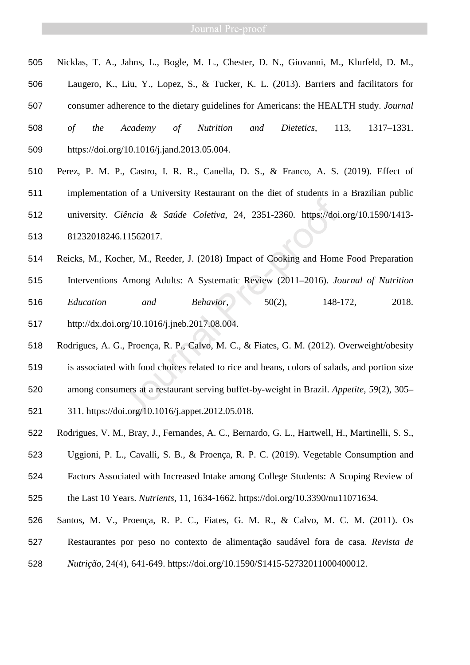- Nicklas, T. A., Jahns, L., Bogle, M. L., Chester, D. N., Giovanni, M., Klurfeld, D. M.,
- Laugero, K., Liu, Y., Lopez, S., & Tucker, K. L. (2013). Barriers and facilitators for
- consumer adherence to the dietary guidelines for Americans: the HEALTH study. *Journal*
- *of the Academy of Nutrition and Dietetics*, 113, 1317–1331. https://doi.org/10.1016/j.jand.2013.05.004.
- Perez, P. M. P., Castro, I. R. R., Canella, D. S., & Franco, A. S. (2019). Effect of implementation of a University Restaurant on the diet of students in a Brazilian public university. *Ciência & Saúde Coletiva*, 24, 2351-2360. https://doi.org/10.1590/1413- 81232018246.11562017.
- Reicks, M., Kocher, M., Reeder, J. (2018) Impact of Cooking and Home Food Preparation Interventions Among Adults: A Systematic Review (2011–2016). *Journal of Nutrition Education and Behavior*, 50(2), 148-172, 2018. http://dx.doi.org/10.1016/j.jneb.2017.08.004. Fiencia & Saúde Coletiva, 24, 2351-2360. https://doi<br>
11562017.<br>
her, M., Reeder, J. (2018) Impact of Cooking and Home<br>
Among Adults: A Systematic Review (2011–2016). Jc<br>
and Behavior, 50(2), 148-<br>
org/10.1016/j.jneb.2017
- Rodrigues, A. G., Proença, R. P., Calvo, M. C., & Fiates, G. M. (2012). Overweight/obesity is associated with food choices related to rice and beans, colors of salads, and portion size
- among consumers at a restaurant serving buffet-by-weight in Brazil. *Appetite*, *59*(2), 305–
- 311. https://doi.org/10.1016/j.appet.2012.05.018.
- Rodrigues, V. M., Bray, J., Fernandes, A. C., Bernardo, G. L., Hartwell, H., Martinelli, S. S.,
- Uggioni, P. L., Cavalli, S. B., & Proença, R. P. C. (2019). Vegetable Consumption and
- Factors Associated with Increased Intake among College Students: A Scoping Review of
- the Last 10 Years. *Nutrients*, 11, 1634-1662. https://doi.org/10.3390/nu11071634.
- Santos, M. V., Proença, R. P. C., Fiates, G. M. R., & Calvo, M. C. M. (2011). Os Restaurantes por peso no contexto de alimentação saudável fora de casa. *Revista de*
- *Nutrição*, 24(4), 641-649. https://doi.org/10.1590/S1415-52732011000400012.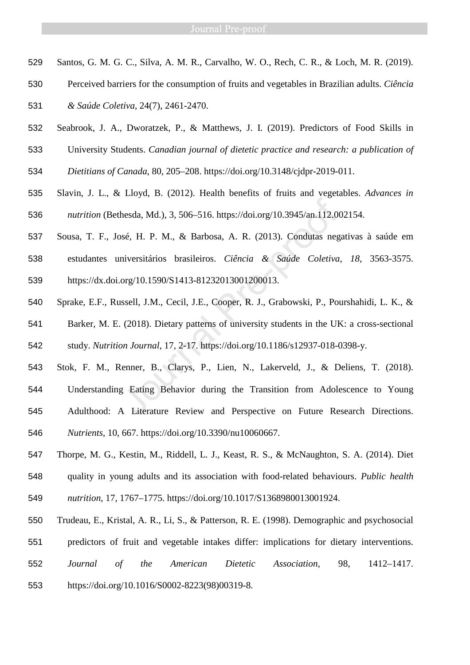- Santos, G. M. G. C., Silva, A. M. R., Carvalho, W. O., Rech, C. R., & Loch, M. R. (2019).
- Perceived barriers for the consumption of fruits and vegetables in Brazilian adults. *Ciência*

*& Saúde Coletiva,* 24(7), 2461-2470.

- Seabrook, J. A., Dworatzek, P., & Matthews, J. I. (2019). Predictors of Food Skills in
- University Students. *Canadian journal of dietetic practice and research: a publication of*
- *Dietitians of Canada*, 80, 205–208. https://doi.org/10.3148/cjdpr-2019-011.
- Slavin, J. L., & Lloyd, B. (2012). Health benefits of fruits and vegetables. *Advances in nutrition* (Bethesda, Md.), 3, 506–516. https://doi.org/10.3945/an.112.002154.
- Sousa, T. F., José, H. P. M., & Barbosa, A. R. (2013). Condutas negativas à saúde em estudantes universitários brasileiros. *Ciência & Saúde Coletiva*, *18*, 3563-3575. https://dx.doi.org/10.1590/S1413-81232013001200013.
- Sprake, E.F., Russell, J.M., Cecil, J.E., Cooper, R. J., Grabowski, P., Pourshahidi, L. K., &
- Barker, M. E. (2018). Dietary patterns of university students in the UK: a cross-sectional study. *Nutrition Journal*, 17, 2-17. https://doi.org/10.1186/s12937-018-0398-y.
- Stok, F. M., Renner, B., Clarys, P., Lien, N., Lakerveld, J., & Deliens, T. (2018). Understanding Eating Behavior during the Transition from Adolescence to Young Adulthood: A Literature Review and Perspective on Future Research Directions. *Nutrients*, 10, 667. https://doi.org/10.3390/nu10060667. hesda, Md.), 3, 506–516. https://doi.org/10.3945/an.112.00<br>
12.00<br>
12.00<br>
12.00<br>
12.00<br>
12.00<br>
12.00<br>
12.00<br>
12.00<br>
12.00<br>
12.00<br>
12.00<br>
12.00<br>
12.00<br>
12.00<br>
12.00<br>
12.00<br>
13.00000013.<br>
13.001200013.<br>
13.001200013.<br>
13.001
- Thorpe, M. G., Kestin, M., Riddell, L. J., Keast, R. S., & McNaughton, S. A. (2014). Diet quality in young adults and its association with food-related behaviours. *Public health nutrition*, 17, 1767–1775. https://doi.org/10.1017/S1368980013001924.
- Trudeau, E., Kristal, A. R., Li, S., & Patterson, R. E. (1998). Demographic and psychosocial
- predictors of fruit and vegetable intakes differ: implications for dietary interventions.
- *Journal of the American Dietetic Association*, 98, 1412–1417.
- https://doi.org/10.1016/S0002-8223(98)00319-8.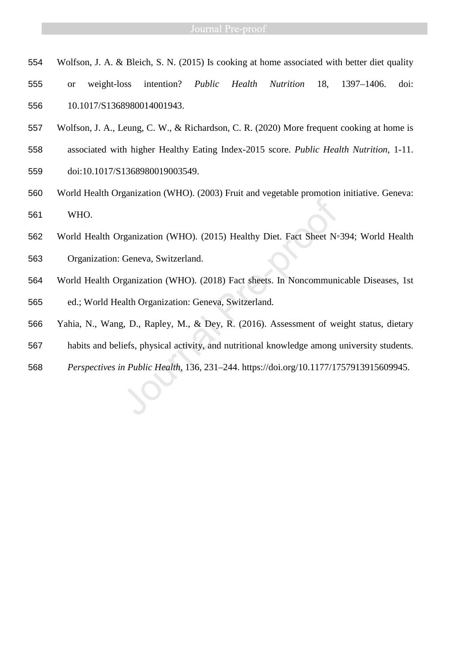- Wolfson, J. A. & Bleich, S. N. (2015) Is cooking at home associated with better diet quality
- or weight-loss intention? *Public Health Nutrition* 18, 1397–1406. doi: 10.1017/S1368980014001943.
- Wolfson, J. A., Leung, C. W., & Richardson, C. R. (2020) More frequent cooking at home is
- associated with higher Healthy Eating Index-2015 score. *Public Health Nutrition*, 1-11.
- doi:10.1017/S1368980019003549.
- World Health Organization (WHO). (2003) Fruit and vegetable promotion initiative. Geneva: WHO.
- World Health Organization (WHO). (2015) Healthy Diet. Fact Sheet N◦394; World Health Organization: Geneva, Switzerland. WHO.<br>
562 World Health Organization (WHO). (2015) Healthy Diet. Fact Sheet Nº394; World Health<br>
958 Organization: Geneva, Switzerland.<br>
564 World Health Organization (WHO). (2018) Fact sheets. In Noncommunicable Diseases,
- World Health Organization (WHO). (2018) Fact sheets. In Noncommunicable Diseases, 1st
- ed.; World Health Organization: Geneva, Switzerland.
- Yahia, N., Wang, D., Rapley, M., & Dey, R. (2016). Assessment of weight status, dietary
- habits and beliefs, physical activity, and nutritional knowledge among university students.
-